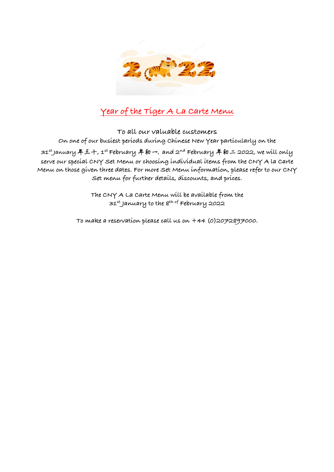

# **Year of the Tiger A La Carte Menu**

**To all our valuable customers On one of our busiest periods during Chinese New Year particularly on the 31st January** 年三⼗**, 1st February** 年初⼀, **and 2nd February** 年初⼆ **2022, we will only serve our special CNY Set Menu or choosing individual items from the CNY A la Carte Menu on those given three dates. For more Set Menu information, please refer to our CNY Set menu for further details, discounts, and prices.**

> **The CNY A La Carte Menu will be available from the 31st January to the 8th of February 2022**

**To make a reservation please call us on +44 (0)2072897000**.